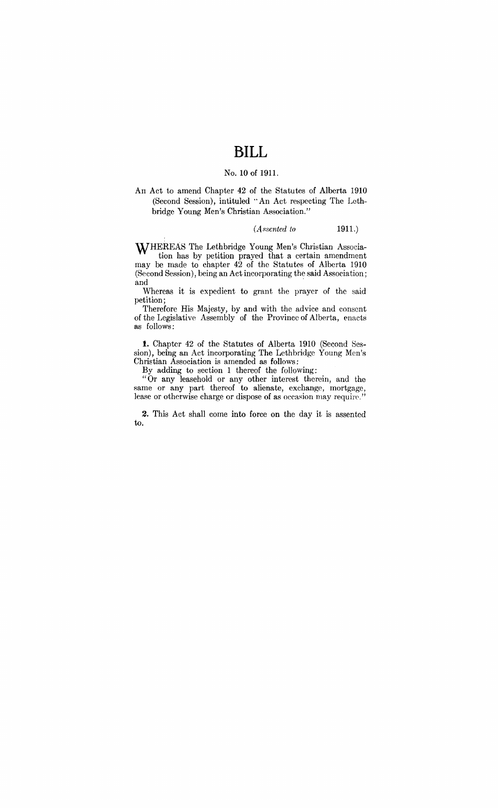# **BILL**

## No. 10 of 1911.

An Act to amend Chapter 42 of the Statutes of Alberta 1910 (Second Session), intituled "An Act respecting The Lethbridge Young Men's Christian Association."

#### (*Assented to* 1911.)

WHEREAS The Lethbridge Young Men's Christian Association has by petition prayed that a certain amendment may be made to chapter 42 of the Statutes of Alberta 1910 (Second Session), being an Act incorporating the said Association; and  $\,$ 

Whereas it is expedient to grant the prayer of the said petition;

Therefore His Majesty, by and with the advice and consent of the Legislative Assembly of the Province of Alberta, enacts as follows:

**t.** Chapter 42 of the Statutes of Alberta 1910 (Second Session), being an Act incorporating The Lethbridge Young Men's Christian Association is amended as follows:

By adding to section 1 thereof the following:

"Or any leasehold or any other interest therein, and the same or any part thereof to alienate, exchange, mortgage, lease or otherwise charge or dispose of as occasion may require."

2. This Act shall come into force on the day it is assented to.